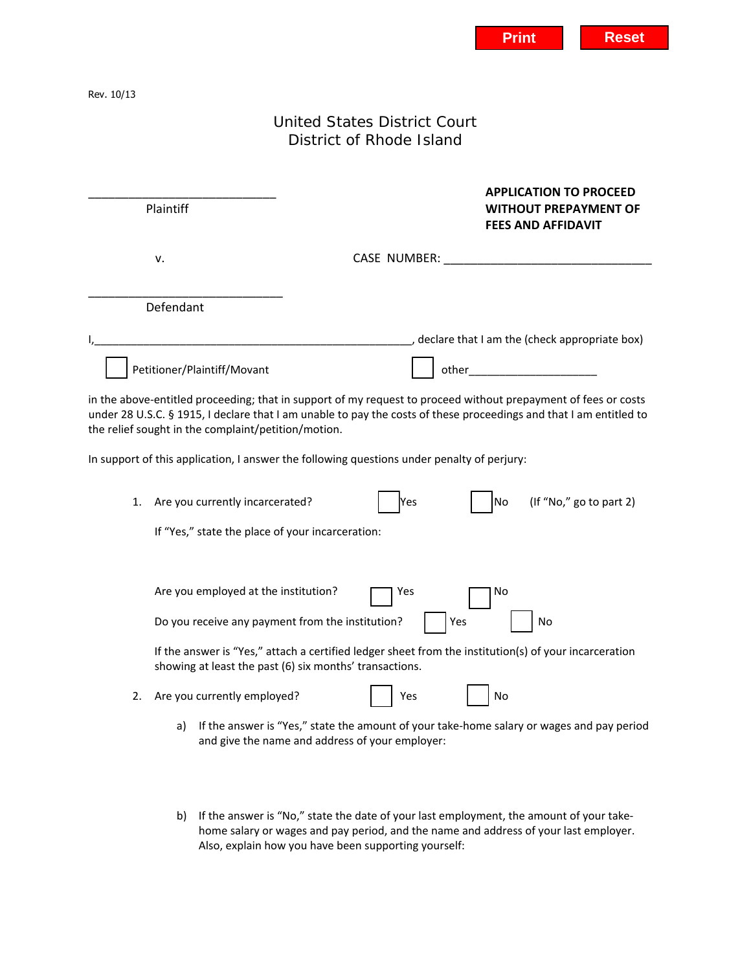Rev. 10/13

## United States District Court District of Rhode Island

| Plaintiff                                                                                 | <b>APPLICATION TO PROCEED</b><br><b>WITHOUT PREPAYMENT OF</b><br><b>FEES AND AFFIDAVIT</b>                                                                                                                                      |
|-------------------------------------------------------------------------------------------|---------------------------------------------------------------------------------------------------------------------------------------------------------------------------------------------------------------------------------|
| v.                                                                                        |                                                                                                                                                                                                                                 |
| Defendant                                                                                 |                                                                                                                                                                                                                                 |
| <u> 1989 - Johann John Stone, mars eta biztanleria (h. 1989).</u>                         | declare that I am the (check appropriate box)                                                                                                                                                                                   |
| Petitioner/Plaintiff/Movant                                                               | other and the contract of the contract of the contract of the contract of the contract of the contract of the contract of the contract of the contract of the contract of the contract of the contract of the contract of the c |
| Are you currently incarcerated?<br>1.<br>If "Yes," state the place of your incarceration: | In support of this application, I answer the following questions under penalty of perjury:<br>(If "No," go to part 2)<br>No<br>Yes                                                                                              |
| Are you employed at the institution?                                                      | No<br>Yes                                                                                                                                                                                                                       |
| Do you receive any payment from the institution?                                          | Yes<br>No                                                                                                                                                                                                                       |
| showing at least the past (6) six months' transactions.                                   | If the answer is "Yes," attach a certified ledger sheet from the institution(s) of your incarceration                                                                                                                           |
| Are you currently employed?<br>2.                                                         | No<br>Yes                                                                                                                                                                                                                       |
|                                                                                           |                                                                                                                                                                                                                                 |

- a) If the answer is "Yes," state the amount of your take-home salary or wages and pay period and give the name and address of your employer:
- b) If the answer is "No," state the date of your last employment, the amount of your takehome salary or wages and pay period, and the name and address of your last employer. Also, explain how you have been supporting yourself: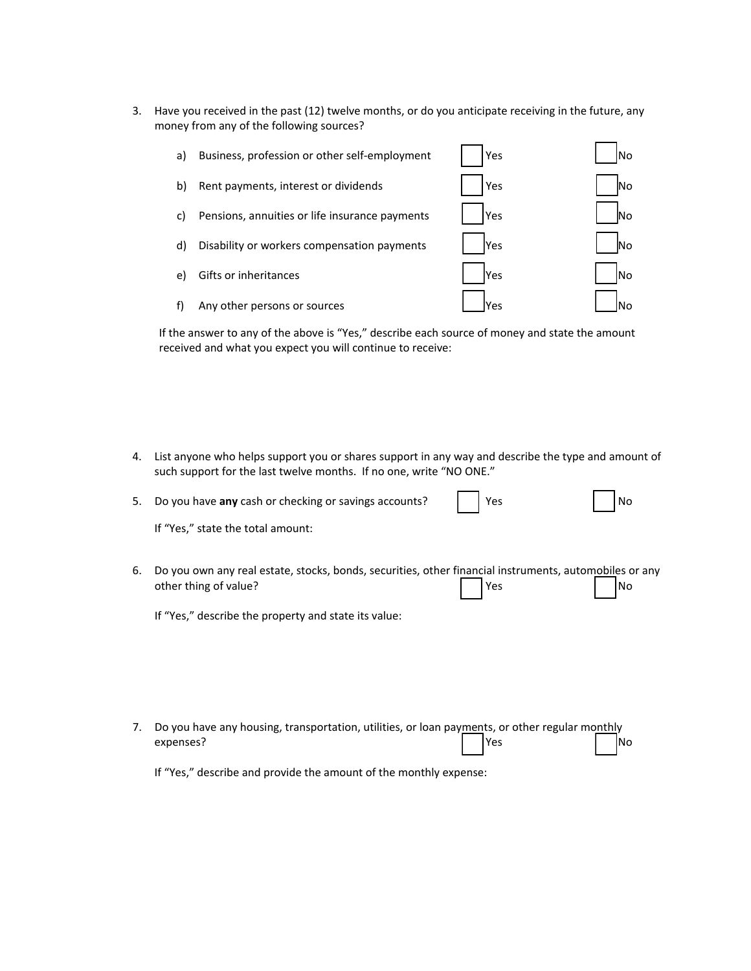3. Have you received in the past (12) twelve months, or do you anticipate receiving in the future, any money from any of the following sources?

| a) | Business, profession or other self-employment  | Yes |           |
|----|------------------------------------------------|-----|-----------|
| b) | Rent payments, interest or dividends           | Yes | lNo       |
| C) | Pensions, annuities or life insurance payments | Yes | <b>No</b> |
| d) | Disability or workers compensation payments    | Yes | lNo       |
| e) | Gifts or inheritances                          | Yes | lNo       |
| f) | Any other persons or sources                   | Yes |           |

If the answer to any of the above is "Yes," describe each source of money and state the amount received and what you expect you will continue to receive:

4. List anyone who helps support you or shares support in any way and describe the type and amount of such support for the last twelve months. If no one, write "NO ONE."

| 5. | Do you have any cash or checking or savings accounts?                                                                           | Yes | No  |
|----|---------------------------------------------------------------------------------------------------------------------------------|-----|-----|
|    | If "Yes," state the total amount:                                                                                               |     |     |
| 6. | Do you own any real estate, stocks, bonds, securities, other financial instruments, automobiles or any<br>other thing of value? | Yes | lNo |
|    | If "Yes," describe the property and state its value:                                                                            |     |     |
|    |                                                                                                                                 |     |     |
|    |                                                                                                                                 |     |     |
|    |                                                                                                                                 |     |     |
| 7. | Do you have any housing, transportation, utilities, or loan payments, or other regular monthly                                  |     |     |
|    | expenses?                                                                                                                       | Yes | Νo  |

If "Yes," describe and provide the amount of the monthly expense: